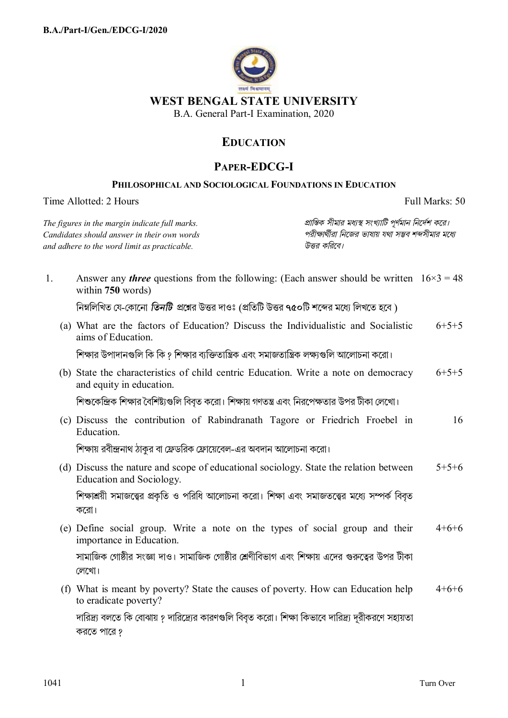

## **EDUCATION**

## **PAPER-EDCG-I**

## PHILOSOPHICAL AND SOCIOLOGICAL FOUNDATIONS IN EDUCATION

Time Allotted: 2 Hours

Full Marks: 50

The figures in the margin indicate full marks. Candidates should answer in their own words and adhere to the word limit as practicable.

প্রান্তিক সীমার মধ্যস্থ সংখ্যাটি পূর্ণমান নির্দেশ করে। পরীক্ষার্থীরা নিজের ভাষায় যথা সম্ভব শব্দসীমার মধ্যে উত্তর করিবে।

| 1. | Answer any <i>three</i> questions from the following: (Each answer should be written $16 \times 3 = 48$<br>within 750 words) |         |
|----|------------------------------------------------------------------------------------------------------------------------------|---------|
|    | নিম্নলিখিত যে-কোনো <i>তিনটি প্র</i> শ্নের উত্তর দাওঃ (প্রতিটি উত্তর ৭৫০টি শব্দের মধ্যে লিখতে হবে )                           |         |
|    | (a) What are the factors of Education? Discuss the Individualistic and Socialistic<br>aims of Education.                     | $6+5+5$ |
|    | শিক্ষার উপাদানগুলি কি কি ? শিক্ষার ব্যক্তিতান্ত্রিক এবং সমাজতান্ত্রিক লক্ষ্যগুলি আলোচনা করো।                                 |         |
|    | (b) State the characteristics of child centric Education. Write a note on democracy<br>and equity in education.              | $6+5+5$ |
|    | শিশুকেন্দ্রিক শিক্ষার বৈশিষ্ট্যগুলি বিবৃত করো। শিক্ষায় গণতন্ত্র এবং নিরপেক্ষতার উপর টীকা লেখো।                              |         |
|    | (c) Discuss the contribution of Rabindranath Tagore or Friedrich Froebel in<br>Education.                                    | 16      |
|    | শিক্ষায় রবীন্দ্রনাথ ঠাকুর বা ফ্রেডরিক ফ্রোয়েবেল-এর অবদান আলোচনা করো।                                                       |         |
|    | (d) Discuss the nature and scope of educational sociology. State the relation between<br>Education and Sociology.            | $5+5+6$ |
|    | শিক্ষাশ্রয়ী সমাজত্ত্বের প্রকৃতি ও পরিধি আলোচনা করো। শিক্ষা এবং সমাজতত্ত্বের মধ্যে সম্পর্ক বিবৃত<br>করো।                     |         |
|    | (e) Define social group. Write a note on the types of social group and their<br>importance in Education.                     | $4+6+6$ |
|    | সামাজিক গোষ্ঠীর সংজ্ঞা দাও। সামাজিক গোষ্ঠীর শ্রেণীবিভাগ এবং শিক্ষায় এদের গুরুত্বের উপর টীকা<br>লেখো।                        |         |
|    | (f) What is meant by poverty? State the causes of poverty. How can Education help<br>to eradicate poverty?                   | $4+6+6$ |
|    | দারিদ্র্য বলতে কি বোঝায় ? দারিদ্র্যের কারণগুলি বিবৃত করো। শিক্ষা কিভাবে দারিদ্র্য দূরীকরণে সহায়তা<br>করতে পারে ?           |         |

 $\mathbf{1}$